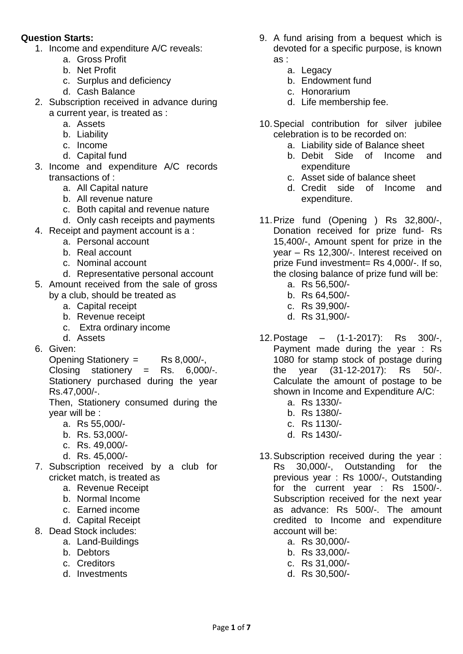## **Question Starts:**

- 1. Income and expenditure A/C reveals:
	- a. Gross Profit
	- b. Net Profit
	- c. Surplus and deficiency
	- d. Cash Balance
- 2. Subscription received in advance during a current year, is treated as :
	- a. Assets
	- b. Liability
	- c. Income
	- d. Capital fund
- 3. Income and expenditure A/C records transactions of :
	- a. All Capital nature
	- b. All revenue nature
	- c. Both capital and revenue nature
	- d. Only cash receipts and payments
- 4. Receipt and payment account is a :
	- a. Personal account
		- b. Real account
		- c. Nominal account
	- d. Representative personal account
- 5. Amount received from the sale of gross by a club, should be treated as
	- a. Capital receipt
	- b. Revenue receipt
	- c. Extra ordinary income
	- d. Assets
- 6. Given:

Opening Stationery = Rs 8,000/-, Closing stationery = Rs. 6,000/-. Stationery purchased during the year Rs.47,000/-.

Then, Stationery consumed during the year will be :

- a. Rs 55,000/-
- b. Rs. 53,000/-
- c. Rs. 49,000/-
- d. Rs. 45,000/-
- 7. Subscription received by a club for cricket match, is treated as
	- a. Revenue Receipt
	- b. Normal Income
	- c. Earned income
	- d. Capital Receipt
- 8. Dead Stock includes:
	- a. Land-Buildings
	- b. Debtors
	- c. Creditors
	- d. Investments
- 9. A fund arising from a bequest which is devoted for a specific purpose, is known as :
	- a. Legacy
	- b. Endowment fund
	- c. Honorarium
	- d. Life membership fee.
- 10.Special contribution for silver jubilee celebration is to be recorded on:
	- a. Liability side of Balance sheet
	- b. Debit Side of Income and expenditure
	- c. Asset side of balance sheet
	- d. Credit side of Income and expenditure.
- 11.Prize fund (Opening ) Rs 32,800/-, Donation received for prize fund- Rs 15,400/-, Amount spent for prize in the year – Rs 12,300/-. Interest received on prize Fund investment= Rs 4,000/-. If so, the closing balance of prize fund will be:
	- a. Rs 56,500/-
	- b. Rs 64,500/-
	- c. Rs 39,900/-
	- d. Rs 31,900/-
- 12.Postage (1-1-2017): Rs 300/-, Payment made during the year : Rs 1080 for stamp stock of postage during the year (31-12-2017): Rs 50/-. Calculate the amount of postage to be shown in Income and Expenditure A/C:
	- a. Rs 1330/-
	- b. Rs 1380/-
	- c. Rs 1130/-
	- d. Rs 1430/-
- 13.Subscription received during the year : Rs 30,000/-, Outstanding for the previous year : Rs 1000/-, Outstanding for the current year : Rs 1500/-. Subscription received for the next year as advance: Rs 500/-. The amount credited to Income and expenditure account will be:
	- a. Rs 30,000/-
	- b. Rs 33,000/-
	- c. Rs 31,000/-
	- d. Rs 30,500/-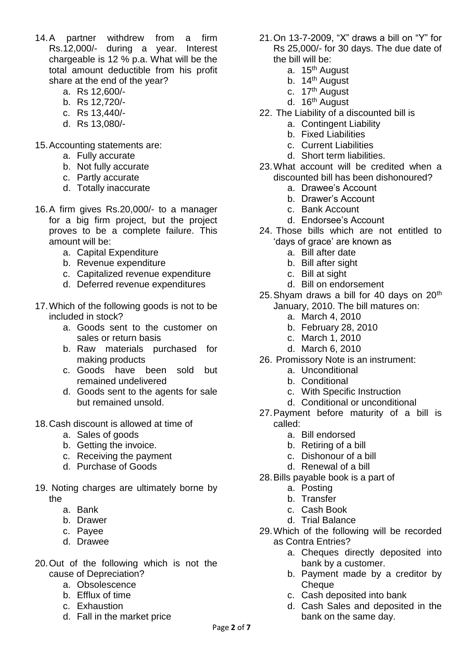- 14.A partner withdrew from a firm Rs.12,000/- during a year. Interest chargeable is 12 % p.a. What will be the total amount deductible from his profit share at the end of the year?
	- a. Rs 12,600/-
	- b. Rs 12,720/-
	- c. Rs 13,440/-
	- d. Rs 13,080/-
- 15.Accounting statements are:
	- a. Fully accurate
	- b. Not fully accurate
	- c. Partly accurate
	- d. Totally inaccurate
- 16.A firm gives Rs.20,000/- to a manager for a big firm project, but the project proves to be a complete failure. This amount will be:
	- a. Capital Expenditure
	- b. Revenue expenditure
	- c. Capitalized revenue expenditure
	- d. Deferred revenue expenditures
- 17.Which of the following goods is not to be included in stock?
	- a. Goods sent to the customer on sales or return basis
	- b. Raw materials purchased for making products
	- c. Goods have been sold but remained undelivered
	- d. Goods sent to the agents for sale but remained unsold.
- 18.Cash discount is allowed at time of
	- a. Sales of goods
	- b. Getting the invoice.
	- c. Receiving the payment
	- d. Purchase of Goods
- 19. Noting charges are ultimately borne by the
	- a. Bank
	- b. Drawer
	- c. Payee
	- d. Drawee
- 20.Out of the following which is not the cause of Depreciation?
	- a. Obsolescence
	- b. Efflux of time
	- c. Exhaustion
	- d. Fall in the market price
- 21.On 13-7-2009, "X" draws a bill on "Y" for Rs 25,000/- for 30 days. The due date of the bill will be:
	- a. 15<sup>th</sup> August
	- b. 14<sup>th</sup> August
	- c. 17<sup>th</sup> August
	- d. 16<sup>th</sup> August
- 22. The Liability of a discounted bill is
	- a. Contingent Liability
	- b. Fixed Liabilities
	- c. Current Liabilities
	- d. Short term liabilities.
- 23.What account will be credited when a discounted bill has been dishonoured?
	- a. Drawee's Account
	- b. Drawer's Account
	- c. Bank Account
	- d. Endorsee's Account
- 24. Those bills which are not entitled to 'days of grace' are known as
	- a. Bill after date
	- b. Bill after sight
	- c. Bill at sight
	- d. Bill on endorsement
- 25. Shyam draws a bill for 40 days on  $20<sup>th</sup>$ January, 2010. The bill matures on:
	- a. March 4, 2010
	- b. February 28, 2010
	- c. March 1, 2010
	- d. March 6, 2010
- 26. Promissory Note is an instrument:
	- a. Unconditional
	- b. Conditional
	- c. With Specific Instruction
	- d. Conditional or unconditional
- 27.Payment before maturity of a bill is called:
	- a. Bill endorsed
	- b. Retiring of a bill
	- c. Dishonour of a bill
	- d. Renewal of a bill
- 28.Bills payable book is a part of
	- a. Posting
	- b. Transfer
	- c. Cash Book
	- d. Trial Balance
- 29.Which of the following will be recorded as Contra Entries?
	- a. Cheques directly deposited into bank by a customer.
	- b. Payment made by a creditor by **Cheque**
	- c. Cash deposited into bank
	- d. Cash Sales and deposited in the bank on the same day.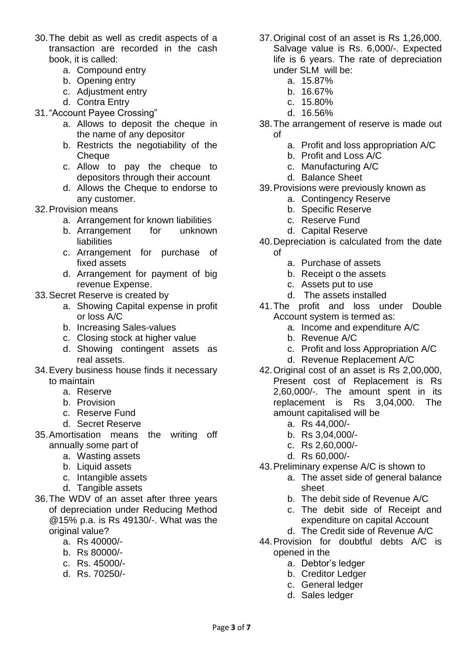- 30.The debit as well as credit aspects of a transaction are recorded in the cash book, it is called:
	- a. Compound entry
	- b. Opening entry
	- c. Adjustment entry
	- d. Contra Entry
- 31."Account Payee Crossing"
	- a. Allows to deposit the cheque in the name of any depositor
	- b. Restricts the negotiability of the **Cheque**
	- c. Allow to pay the cheque to depositors through their account
	- d. Allows the Cheque to endorse to any customer.
- 32.Provision means
	- a. Arrangement for known liabilities
	- b. Arrangement for unknown liabilities
	- c. Arrangement for purchase of fixed assets
	- d. Arrangement for payment of big revenue Expense.
- 33.Secret Reserve is created by
	- a. Showing Capital expense in profit or loss A/C
	- b. Increasing Sales-values
	- c. Closing stock at higher value
	- d. Showing contingent assets as real assets.
- 34.Every business house finds it necessary to maintain
	- a. Reserve
	- b. Provision
	- c. Reserve Fund
	- d. Secret Reserve
- 35.Amortisation means the writing off annually some part of
	- a. Wasting assets
	- b. Liquid assets
	- c. Intangible assets
	- d. Tangible assets
- 36.The WDV of an asset after three years of depreciation under Reducing Method @15% p.a. is Rs 49130/-. What was the original value?
	- a. Rs 40000/-
	- b. Rs 80000/-
	- c. Rs. 45000/-
	- d. Rs. 70250/-
- 37.Original cost of an asset is Rs 1,26,000. Salvage value is Rs. 6,000/-. Expected life is 6 years. The rate of depreciation under SLM will be:
	- a. 15.87%
	- b. 16.67%
	- c. 15.80%
	- d. 16.56%
- 38.The arrangement of reserve is made out of
	- a. Profit and loss appropriation A/C
	- b. Profit and Loss A/C
	- c. Manufacturing A/C
	- d. Balance Sheet
- 39.Provisions were previously known as
	- a. Contingency Reserve
	- b. Specific Reserve
	- c. Reserve Fund
	- d. Capital Reserve
- 40.Depreciation is calculated from the date of
	- a. Purchase of assets
	- b. Receipt o the assets
	- c. Assets put to use
	- d. The assets installed
- 41.The profit and loss under Double Account system is termed as:
	- a. Income and expenditure A/C
	- b. Revenue A/C
	- c. Profit and loss Appropriation A/C
	- d. Revenue Replacement A/C
- 42.Original cost of an asset is Rs 2,00,000, Present cost of Replacement is Rs 2,60,000/-. The amount spent in its replacement is Rs 3,04,000. The amount capitalised will be
	- a. Rs 44,000/-
	- b. Rs 3,04,000/-
	- c. Rs 2,60,000/-
	- d. Rs 60,000/-
- 43.Preliminary expense A/C is shown to
	- a. The asset side of general balance sheet
	- b. The debit side of Revenue A/C
	- c. The debit side of Receipt and expenditure on capital Account
- d. The Credit side of Revenue A/C 44.Provision for doubtful debts A/C is
	- opened in the
		- a. Debtor's ledger
		- b. Creditor Ledger
		- c. General ledger
		- d. Sales ledger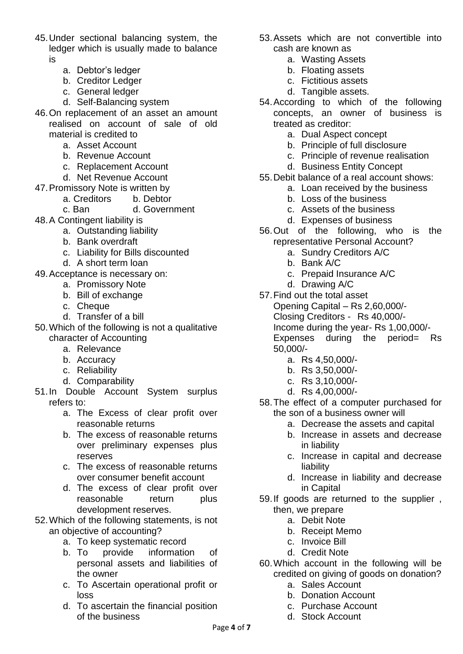- 45.Under sectional balancing system, the ledger which is usually made to balance is
	- a. Debtor's ledger
	- b. Creditor Ledger
	- c. General ledger
	- d. Self-Balancing system
- 46.On replacement of an asset an amount realised on account of sale of old material is credited to
	- a. Asset Account
	- b. Revenue Account
	- c. Replacement Account
	- d. Net Revenue Account
- 47.Promissory Note is written by
	- a. Creditors b. Debtor
	- c. Ban d. Government
- 48.A Contingent liability is
	- a. Outstanding liability
	- b. Bank overdraft
	- c. Liability for Bills discounted
	- d. A short term loan
- 49.Acceptance is necessary on:
	- a. Promissory Note
	- b. Bill of exchange
	- c. Cheque
	- d. Transfer of a bill
- 50.Which of the following is not a qualitative character of Accounting
	- a. Relevance
	- b. Accuracy
	- c. Reliability
	- d. Comparability
- 51.In Double Account System surplus refers to:
	- a. The Excess of clear profit over reasonable returns
	- b. The excess of reasonable returns over preliminary expenses plus reserves
	- c. The excess of reasonable returns over consumer benefit account
	- d. The excess of clear profit over reasonable return plus development reserves.
- 52.Which of the following statements, is not an objective of accounting?
	- a. To keep systematic record
	- b. To provide information of personal assets and liabilities of the owner
	- c. To Ascertain operational profit or loss
	- d. To ascertain the financial position of the business
- 53.Assets which are not convertible into cash are known as
	- a. Wasting Assets
	- b. Floating assets
	- c. Fictitious assets
	- d. Tangible assets.
- 54.According to which of the following concepts, an owner of business is treated as creditor:
	- a. Dual Aspect concept
	- b. Principle of full disclosure
	- c. Principle of revenue realisation
	- d. Business Entity Concept
- 55.Debit balance of a real account shows:
	- a. Loan received by the business
	- b. Loss of the business
	- c. Assets of the business
	- d. Expenses of business
- 56.Out of the following, who is the representative Personal Account?
	- a. Sundry Creditors A/C
	- b. Bank A/C
	- c. Prepaid Insurance A/C
	- d. Drawing A/C
- 57.Find out the total asset Opening Capital – Rs 2,60,000/-
	- Closing Creditors Rs 40,000/-
	- Income during the year- Rs 1,00,000/-

Expenses during the period= Rs 50,000/-

- a. Rs 4,50,000/-
- b. Rs 3,50,000/-
- c. Rs 3,10,000/-
- d. Rs 4,00,000/-
- 58.The effect of a computer purchased for the son of a business owner will
	- a. Decrease the assets and capital
	- b. Increase in assets and decrease in liability
	- c. Increase in capital and decrease liability
	- d. Increase in liability and decrease in Capital
- 59.If goods are returned to the supplier , then, we prepare
	- a. Debit Note
	- b. Receipt Memo
	- c. Invoice Bill
	- d. Credit Note
- 60.Which account in the following will be credited on giving of goods on donation?
	- a. Sales Account
	- b. Donation Account
	- c. Purchase Account
	- d. Stock Account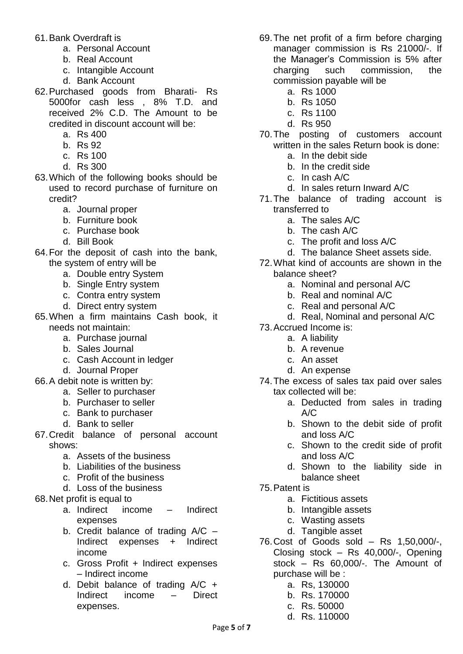- 61.Bank Overdraft is
	- a. Personal Account
	- b. Real Account
	- c. Intangible Account
	- d. Bank Account
- 62.Purchased goods from Bharati- Rs 5000for cash less , 8% T.D. and received 2% C.D. The Amount to be credited in discount account will be:
	- a. Rs 400
	- b. Rs 92
	- c. Rs 100
	- d. Rs 300
- 63.Which of the following books should be used to record purchase of furniture on credit?
	- a. Journal proper
	- b. Furniture book
	- c. Purchase book
	- d. Bill Book
- 64.For the deposit of cash into the bank, the system of entry will be
	- a. Double entry System
	- b. Single Entry system
	- c. Contra entry system
	- d. Direct entry system
- 65.When a firm maintains Cash book, it needs not maintain:
	- a. Purchase journal
	- b. Sales Journal
	- c. Cash Account in ledger
	- d. Journal Proper
- 66.A debit note is written by:
	- a. Seller to purchaser
	- b. Purchaser to seller
	- c. Bank to purchaser
	- d. Bank to seller
- 67.Credit balance of personal account shows:
	- a. Assets of the business
	- b. Liabilities of the business
	- c. Profit of the business
	- d. Loss of the business
- 68.Net profit is equal to
	- a. Indirect income Indirect expenses
	- b. Credit balance of trading A/C Indirect expenses + Indirect income
	- c. Gross Profit + Indirect expenses – Indirect income
	- d. Debit balance of trading A/C + Indirect income – Direct expenses.
- 69.The net profit of a firm before charging manager commission is Rs 21000/-. If the Manager's Commission is 5% after charging such commission, the commission payable will be
	- a. Rs 1000
	- b. Rs 1050
	- c. Rs 1100
	- d. Rs 950
- 70.The posting of customers account written in the sales Return book is done:
	- a. In the debit side
	- b. In the credit side
	- c. In cash A/C
	- d. In sales return Inward A/C
- 71.The balance of trading account is transferred to
	- a. The sales A/C
	- b. The cash A/C
	- c. The profit and loss A/C
	- d. The balance Sheet assets side.
- 72.What kind of accounts are shown in the balance sheet?
	- a. Nominal and personal A/C
	- b. Real and nominal A/C
	- c. Real and personal A/C
	- d. Real, Nominal and personal A/C
- 73.Accrued Income is:
	- a. A liability
	- b. A revenue
	- c. An asset
	- d. An expense
- 74.The excess of sales tax paid over sales tax collected will be:
	- a. Deducted from sales in trading  $A/C$
	- b. Shown to the debit side of profit and loss A/C
	- c. Shown to the credit side of profit and loss A/C
	- d. Shown to the liability side in balance sheet
- 75.Patent is
	- a. Fictitious assets
	- b. Intangible assets
	- c. Wasting assets
	- d. Tangible asset
- 76.Cost of Goods sold Rs 1,50,000/-, Closing stock – Rs 40,000/-, Opening stock – Rs 60,000/-. The Amount of purchase will be :
	- a. Rs, 130000
	- b. Rs. 170000
	- c. Rs. 50000
	- d. Rs. 110000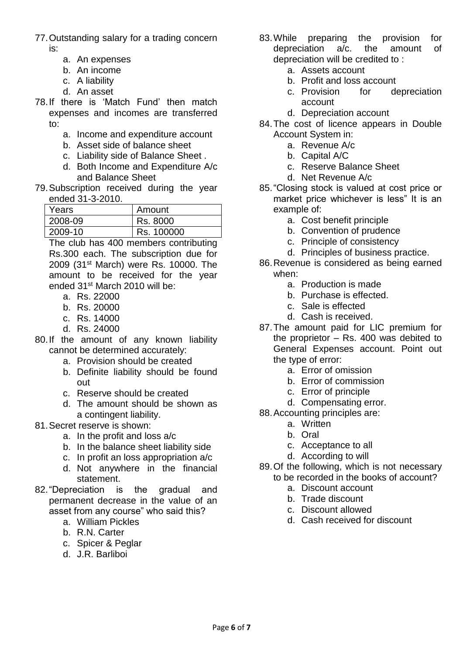- 77.Outstanding salary for a trading concern is:
	- a. An expenses
	- b. An income
	- c. A liability
	- d. An asset
- 78.If there is 'Match Fund' then match expenses and incomes are transferred to:
	- a. Income and expenditure account
	- b. Asset side of balance sheet
	- c. Liability side of Balance Sheet .
	- d. Both Income and Expenditure A/c and Balance Sheet
- 79.Subscription received during the year ended 31-3-2010.

| Years   | Amount     |
|---------|------------|
| 2008-09 | Rs. 8000   |
| 2009-10 | Rs. 100000 |

The club has 400 members contributing Rs.300 each. The subscription due for 2009 (31<sup>st</sup> March) were Rs. 10000. The amount to be received for the year ended 31st March 2010 will be:

- a. Rs. 22000
- b. Rs. 20000
- c. Rs. 14000
- d. Rs. 24000
- 80.If the amount of any known liability cannot be determined accurately:
	- a. Provision should be created
	- b. Definite liability should be found out
	- c. Reserve should be created
	- d. The amount should be shown as a contingent liability.
- 81.Secret reserve is shown:
	- a. In the profit and loss a/c
	- b. In the balance sheet liability side
	- c. In profit an loss appropriation a/c
	- d. Not anywhere in the financial statement.
- 82."Depreciation is the gradual and permanent decrease in the value of an asset from any course" who said this?
	- a. William Pickles
	- b. R.N. Carter
	- c. Spicer & Peglar
	- d. J.R. Barliboi
- 83.While preparing the provision for depreciation a/c. the amount of depreciation will be credited to :
	- a. Assets account
	- b. Profit and loss account
	- c. Provision for depreciation account
	- d. Depreciation account
- 84.The cost of licence appears in Double Account System in:
	- a. Revenue A/c
	- b. Capital A/C
	- c. Reserve Balance Sheet
	- d. Net Revenue A/c
- 85."Closing stock is valued at cost price or market price whichever is less" It is an example of:
	- a. Cost benefit principle
	- b. Convention of prudence
	- c. Principle of consistency
	- d. Principles of business practice.
- 86.Revenue is considered as being earned when:
	- a. Production is made
	- b. Purchase is effected.
	- c. Sale is effected
	- d. Cash is received.
- 87.The amount paid for LIC premium for the proprietor – Rs. 400 was debited to General Expenses account. Point out the type of error:
	- a. Error of omission
	- b. Error of commission
	- c. Error of principle
	- d. Compensating error.
- 88.Accounting principles are:
	- a. Written
	- b. Oral
	- c. Acceptance to all
	- d. According to will
- 89.Of the following, which is not necessary to be recorded in the books of account?
	- a. Discount account
	- b. Trade discount
	- c. Discount allowed
	- d. Cash received for discount